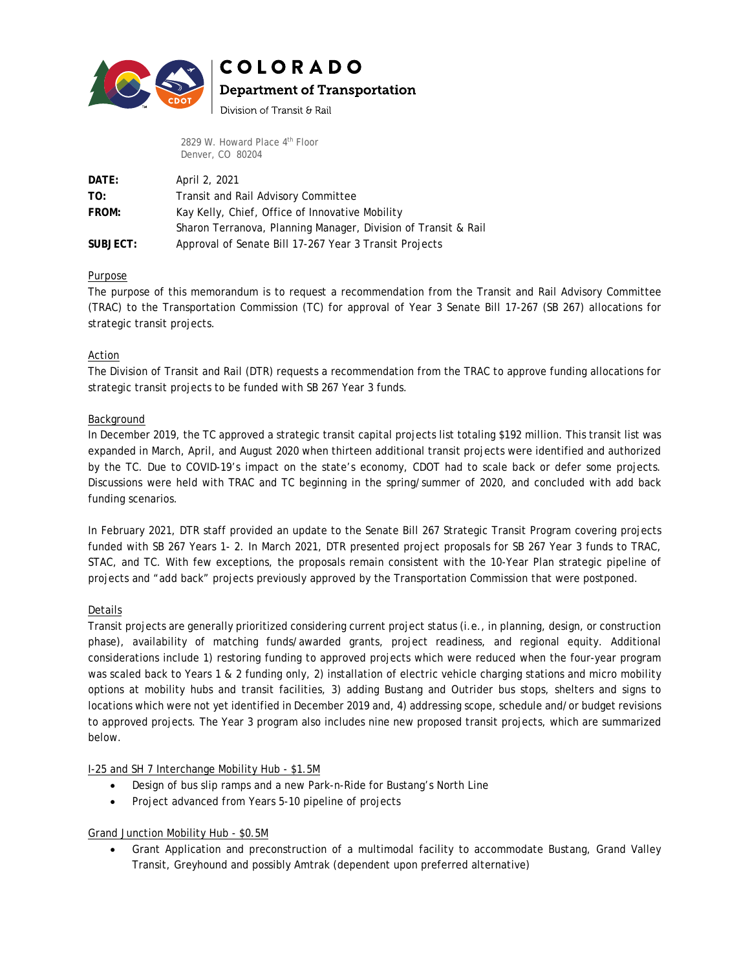

# **COLORADO**

## **Department of Transportation**

Division of Transit & Rail

2829 W. Howard Place 4<sup>th</sup> Floor Denver, CO 80204

| DATE:    | April 2, 2021                                                  |
|----------|----------------------------------------------------------------|
| TO:      | Transit and Rail Advisory Committee                            |
| FROM:    | Kay Kelly, Chief, Office of Innovative Mobility                |
|          | Sharon Terranova, Planning Manager, Division of Transit & Rail |
| SUBJECT: | Approval of Senate Bill 17-267 Year 3 Transit Projects         |

### Purpose

The purpose of this memorandum is to request a recommendation from the Transit and Rail Advisory Committee (TRAC) to the Transportation Commission (TC) for approval of Year 3 Senate Bill 17-267 (SB 267) allocations for strategic transit projects.

### Action

The Division of Transit and Rail (DTR) requests a recommendation from the TRAC to approve funding allocations for strategic transit projects to be funded with SB 267 Year 3 funds.

#### Background

In December 2019, the TC approved a strategic transit capital projects list totaling \$192 million. This transit list was expanded in March, April, and August 2020 when thirteen additional transit projects were identified and authorized by the TC. Due to COVID-19's impact on the state's economy, CDOT had to scale back or defer some projects. Discussions were held with TRAC and TC beginning in the spring/summer of 2020, and concluded with add back funding scenarios.

In February 2021, DTR staff provided an update to the Senate Bill 267 Strategic Transit Program covering projects funded with SB 267 Years 1- 2. In March 2021, DTR presented project proposals for SB 267 Year 3 funds to TRAC, STAC, and TC. With few exceptions, the proposals remain consistent with the 10-Year Plan strategic pipeline of projects and "add back" projects previously approved by the Transportation Commission that were postponed.

#### Details

Transit projects are generally prioritized considering current project status (i.e., in planning, design, or construction phase), availability of matching funds/awarded grants, project readiness, and regional equity. Additional considerations include 1) restoring funding to approved projects which were reduced when the four-year program was scaled back to Years 1 & 2 funding only, 2) installation of electric vehicle charging stations and micro mobility options at mobility hubs and transit facilities, 3) adding Bustang and Outrider bus stops, shelters and signs to locations which were not yet identified in December 2019 and, 4) addressing scope, schedule and/or budget revisions to approved projects. The Year 3 program also includes nine new proposed transit projects, which are summarized below.

I-25 and SH 7 Interchange Mobility Hub - \$1.5M

- Design of bus slip ramps and a new Park-n-Ride for Bustang's North Line
- Project advanced from Years 5-10 pipeline of projects

#### Grand Junction Mobility Hub - \$0.5M

• Grant Application and preconstruction of a multimodal facility to accommodate Bustang, Grand Valley Transit, Greyhound and possibly Amtrak (dependent upon preferred alternative)